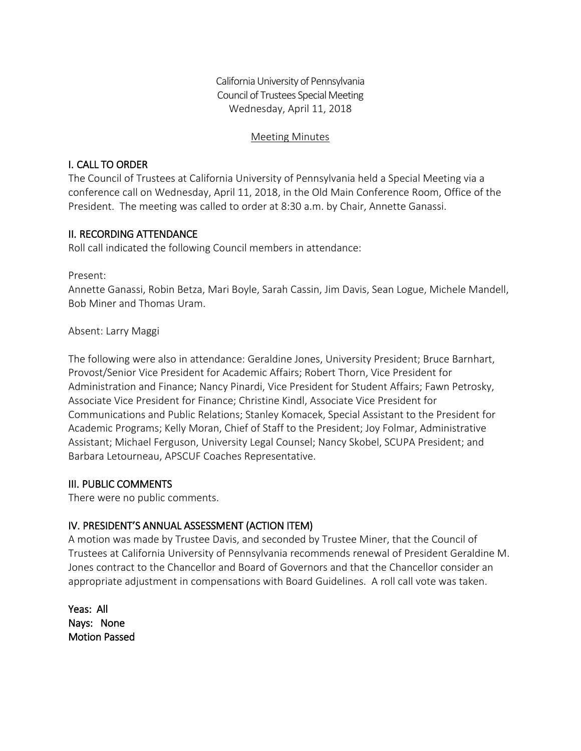California University of Pennsylvania Council of Trustees Special Meeting Wednesday, April 11, 2018

#### Meeting Minutes

### I. CALL TO ORDER

The Council of Trustees at California University of Pennsylvania held a Special Meeting via a conference call on Wednesday, April 11, 2018, in the Old Main Conference Room, Office of the President. The meeting was called to order at 8:30 a.m. by Chair, Annette Ganassi.

# II. RECORDING ATTENDANCE

Roll call indicated the following Council members in attendance:

Present:

Annette Ganassi, Robin Betza, Mari Boyle, Sarah Cassin, Jim Davis, Sean Logue, Michele Mandell, Bob Miner and Thomas Uram.

### Absent: Larry Maggi

The following were also in attendance: Geraldine Jones, University President; Bruce Barnhart, Provost/Senior Vice President for Academic Affairs; Robert Thorn, Vice President for Administration and Finance; Nancy Pinardi, Vice President for Student Affairs; Fawn Petrosky, Associate Vice President for Finance; Christine Kindl, Associate Vice President for Communications and Public Relations; Stanley Komacek, Special Assistant to the President for Academic Programs; Kelly Moran, Chief of Staff to the President; Joy Folmar, Administrative Assistant; Michael Ferguson, University Legal Counsel; Nancy Skobel, SCUPA President; and Barbara Letourneau, APSCUF Coaches Representative.

### III. PUBLIC COMMENTS

There were no public comments.

# IV. PRESIDENT'S ANNUAL ASSESSMENT (ACTION ITEM)

A motion was made by Trustee Davis, and seconded by Trustee Miner, that the Council of Trustees at California University of Pennsylvania recommends renewal of President Geraldine M. Jones contract to the Chancellor and Board of Governors and that the Chancellor consider an appropriate adjustment in compensations with Board Guidelines. A roll call vote was taken.

Yeas: All Nays: None Motion Passed